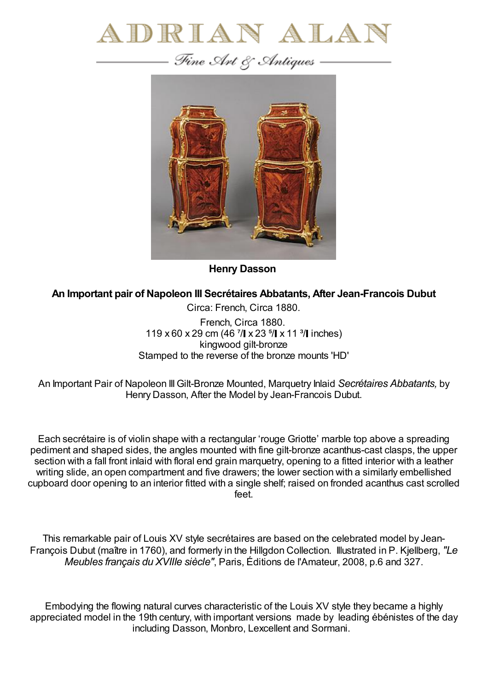

— Fine Art & Antiques —



**Henry Dasson**

**An Important pair of Napoleon III Secrétaires Abbatants, After Jean-Francois Dubut**

Circa: French, Circa 1880. French, Circa 1880. 119 x 60 x 29 cm (46  $7/$  x 23  $5/$  x 11  $3/$  inches) kingwood gilt-bronze Stamped to the reverse of the bronze mounts 'HD'

An Important Pair of Napoleon IIIGilt-Bronze Mounted, Marquetry Inlaid *Secrétaires Abbatants,* by Henry Dasson, After the Model by Jean-Francois Dubut.

Each secrétaire is of violin shape with a rectangular 'rouge Griotte' marble top above a spreading pediment and shaped sides, the angles mounted with fine gilt-bronze acanthus-cast clasps, the upper section with a fall front inlaid with floral end grain marquetry, opening to a fitted interior with a leather writing slide, an open compartment and five drawers; the lower section with a similarly embellished cupboard door opening to an interior fitted with a single shelf; raised on fronded acanthus cast scrolled feet.

This remarkable pair of Louis XV style secrétaires are based on the celebrated model by Jean-François Dubut (maître in 1760), and formerly in the Hillgdon Collection. Illustrated in P. Kjellberg, *"Le Meubles français du XVIIIe siècle"*, Paris, Éditions de l'Amateur, 2008, p.6 and 327.

Embodying the flowing natural curves characteristic of the Louis XV style they became a highly appreciated model in the 19th century, with important versions made by leading ébénistes of the day including Dasson, Monbro, Lexcellent and Sormani.